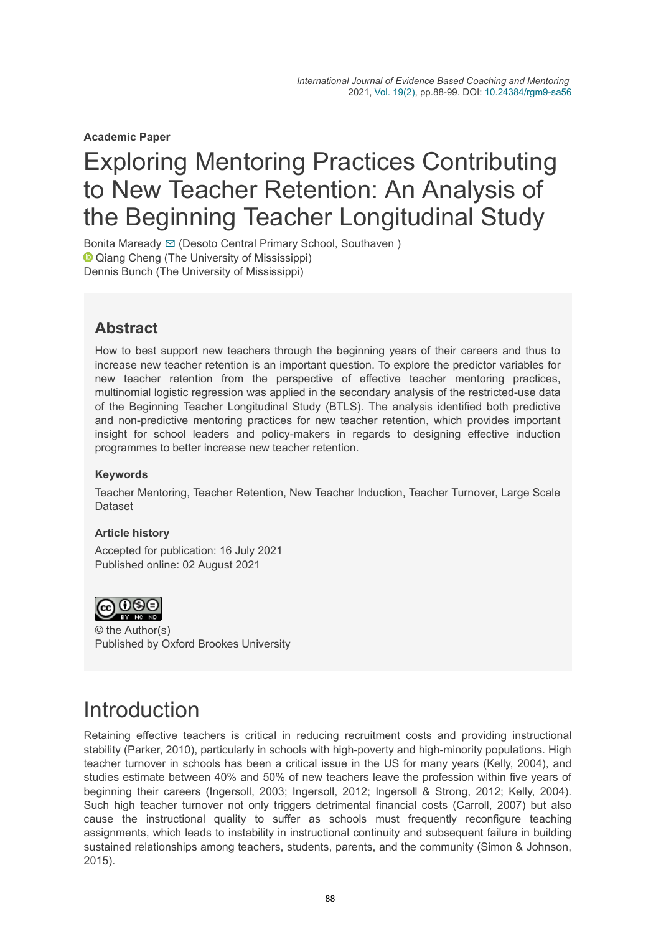**Academic Paper**

# Exploring Mentoring Practices Contributing to New Teacher Retention: An Analysis of the Beginning Teacher Longitudinal Study

Bonita Maready [✉](mailto:Bonnie.Maready@dcsms.org) (Desoto Central Primary School, Southaven ) **Qiang Cheng (The University of Mississippi)** Dennis Bunch (The University of Mississippi)

### **Abstract**

How to best support new teachers through the beginning years of their careers and thus to increase new teacher retention is an important question. To explore the predictor variables for new teacher retention from the perspective of effective teacher mentoring practices, multinomial logistic regression was applied in the secondary analysis of the restricted-use data of the Beginning Teacher Longitudinal Study (BTLS). The analysis identified both predictive and non-predictive mentoring practices for new teacher retention, which provides important insight for school leaders and policy-makers in regards to designing effective induction programmes to better increase new teacher retention.

#### **Keywords**

Teacher Mentoring, Teacher Retention, New Teacher Induction, Teacher Turnover, Large Scale Dataset

#### **Article history**

Accepted for publication: 16 July 2021 Published online: 02 August 2021



© the Author(s) Published by Oxford Brookes University

## **Introduction**

Retaining effective teachers is critical in reducing recruitment costs and providing instructional stability (Parker, 2010), particularly in schools with high-poverty and high-minority populations. High teacher turnover in schools has been a critical issue in the US for many years (Kelly, 2004), and studies estimate between 40% and 50% of new teachers leave the profession within five years of beginning their careers (Ingersoll, 2003; Ingersoll, 2012; Ingersoll & Strong, 2012; Kelly, 2004). Such high teacher turnover not only triggers detrimental financial costs (Carroll, 2007) but also cause the instructional quality to suffer as schools must frequently reconfigure teaching assignments, which leads to instability in instructional continuity and subsequent failure in building sustained relationships among teachers, students, parents, and the community (Simon & Johnson, 2015).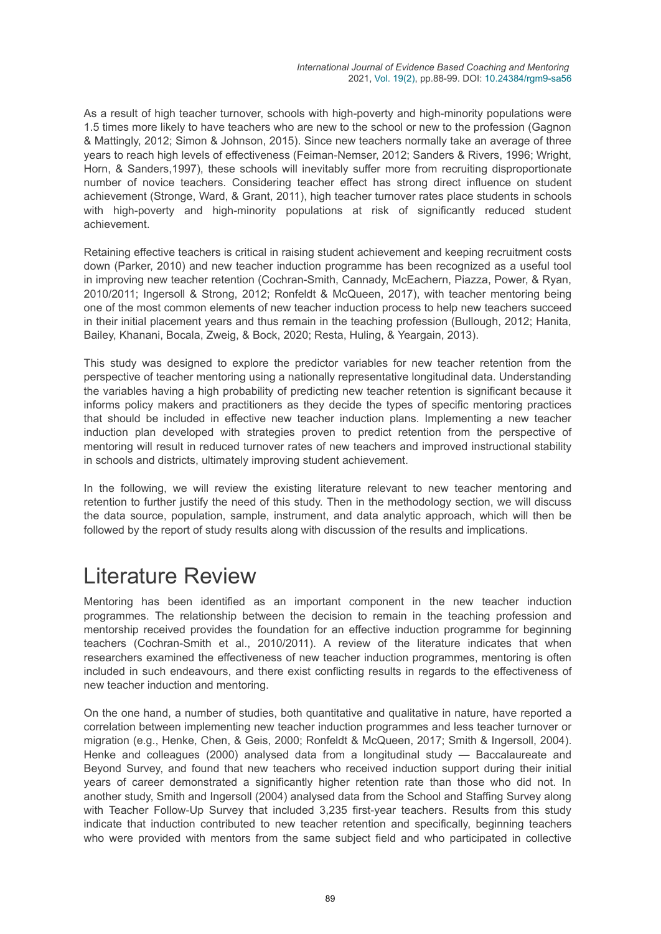As a result of high teacher turnover, schools with high-poverty and high-minority populations were 1.5 times more likely to have teachers who are new to the school or new to the profession (Gagnon & Mattingly, 2012; Simon & Johnson, 2015). Since new teachers normally take an average of three years to reach high levels of effectiveness (Feiman-Nemser, 2012; Sanders & Rivers, 1996; Wright, Horn, & Sanders,1997), these schools will inevitably suffer more from recruiting disproportionate number of novice teachers. Considering teacher effect has strong direct influence on student achievement (Stronge, Ward, & Grant, 2011), high teacher turnover rates place students in schools with high-poverty and high-minority populations at risk of significantly reduced student achievement.

Retaining effective teachers is critical in raising student achievement and keeping recruitment costs down (Parker, 2010) and new teacher induction programme has been recognized as a useful tool in improving new teacher retention (Cochran-Smith, Cannady, McEachern, Piazza, Power, & Ryan, 2010/2011; Ingersoll & Strong, 2012; Ronfeldt & McQueen, 2017), with teacher mentoring being one of the most common elements of new teacher induction process to help new teachers succeed in their initial placement years and thus remain in the teaching profession (Bullough, 2012; Hanita, Bailey, Khanani, Bocala, Zweig, & Bock, 2020; Resta, Huling, & Yeargain, 2013).

This study was designed to explore the predictor variables for new teacher retention from the perspective of teacher mentoring using a nationally representative longitudinal data. Understanding the variables having a high probability of predicting new teacher retention is significant because it informs policy makers and practitioners as they decide the types of specific mentoring practices that should be included in effective new teacher induction plans. Implementing a new teacher induction plan developed with strategies proven to predict retention from the perspective of mentoring will result in reduced turnover rates of new teachers and improved instructional stability in schools and districts, ultimately improving student achievement.

In the following, we will review the existing literature relevant to new teacher mentoring and retention to further justify the need of this study. Then in the methodology section, we will discuss the data source, population, sample, instrument, and data analytic approach, which will then be followed by the report of study results along with discussion of the results and implications.

## Literature Review

Mentoring has been identified as an important component in the new teacher induction programmes. The relationship between the decision to remain in the teaching profession and mentorship received provides the foundation for an effective induction programme for beginning teachers (Cochran-Smith et al., 2010/2011). A review of the literature indicates that when researchers examined the effectiveness of new teacher induction programmes, mentoring is often included in such endeavours, and there exist conflicting results in regards to the effectiveness of new teacher induction and mentoring.

On the one hand, a number of studies, both quantitative and qualitative in nature, have reported a correlation between implementing new teacher induction programmes and less teacher turnover or migration (e.g., Henke, Chen, & Geis, 2000; Ronfeldt & McQueen, 2017; Smith & Ingersoll, 2004). Henke and colleagues (2000) analysed data from a longitudinal study — Baccalaureate and Beyond Survey, and found that new teachers who received induction support during their initial years of career demonstrated a significantly higher retention rate than those who did not. In another study, Smith and Ingersoll (2004) analysed data from the School and Staffing Survey along with Teacher Follow-Up Survey that included 3,235 first-year teachers. Results from this study indicate that induction contributed to new teacher retention and specifically, beginning teachers who were provided with mentors from the same subject field and who participated in collective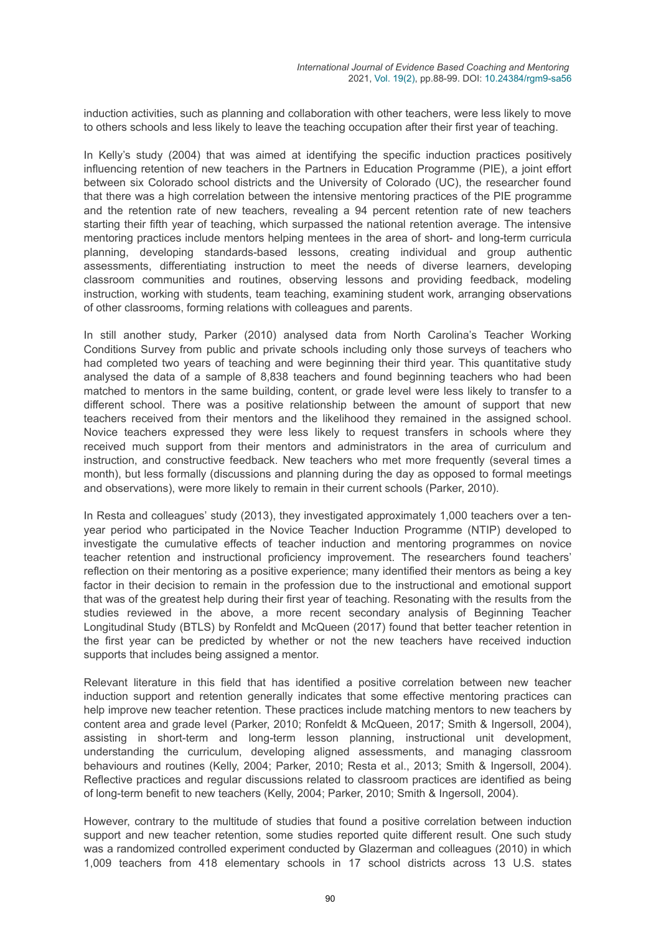induction activities, such as planning and collaboration with other teachers, were less likely to move to others schools and less likely to leave the teaching occupation after their first year of teaching.

In Kelly's study (2004) that was aimed at identifying the specific induction practices positively influencing retention of new teachers in the Partners in Education Programme (PIE), a joint effort between six Colorado school districts and the University of Colorado (UC), the researcher found that there was a high correlation between the intensive mentoring practices of the PIE programme and the retention rate of new teachers, revealing a 94 percent retention rate of new teachers starting their fifth year of teaching, which surpassed the national retention average. The intensive mentoring practices include mentors helping mentees in the area of short- and long-term curricula planning, developing standards-based lessons, creating individual and group authentic assessments, differentiating instruction to meet the needs of diverse learners, developing classroom communities and routines, observing lessons and providing feedback, modeling instruction, working with students, team teaching, examining student work, arranging observations of other classrooms, forming relations with colleagues and parents.

In still another study, Parker (2010) analysed data from North Carolina's Teacher Working Conditions Survey from public and private schools including only those surveys of teachers who had completed two years of teaching and were beginning their third year. This quantitative study analysed the data of a sample of 8,838 teachers and found beginning teachers who had been matched to mentors in the same building, content, or grade level were less likely to transfer to a different school. There was a positive relationship between the amount of support that new teachers received from their mentors and the likelihood they remained in the assigned school. Novice teachers expressed they were less likely to request transfers in schools where they received much support from their mentors and administrators in the area of curriculum and instruction, and constructive feedback. New teachers who met more frequently (several times a month), but less formally (discussions and planning during the day as opposed to formal meetings and observations), were more likely to remain in their current schools (Parker, 2010).

In Resta and colleagues' study (2013), they investigated approximately 1,000 teachers over a tenyear period who participated in the Novice Teacher Induction Programme (NTIP) developed to investigate the cumulative effects of teacher induction and mentoring programmes on novice teacher retention and instructional proficiency improvement. The researchers found teachers' reflection on their mentoring as a positive experience; many identified their mentors as being a key factor in their decision to remain in the profession due to the instructional and emotional support that was of the greatest help during their first year of teaching. Resonating with the results from the studies reviewed in the above, a more recent secondary analysis of Beginning Teacher Longitudinal Study (BTLS) by Ronfeldt and McQueen (2017) found that better teacher retention in the first year can be predicted by whether or not the new teachers have received induction supports that includes being assigned a mentor.

Relevant literature in this field that has identified a positive correlation between new teacher induction support and retention generally indicates that some effective mentoring practices can help improve new teacher retention. These practices include matching mentors to new teachers by content area and grade level (Parker, 2010; Ronfeldt & McQueen, 2017; Smith & Ingersoll, 2004), assisting in short-term and long-term lesson planning, instructional unit development, understanding the curriculum, developing aligned assessments, and managing classroom behaviours and routines (Kelly, 2004; Parker, 2010; Resta et al., 2013; Smith & Ingersoll, 2004). Reflective practices and regular discussions related to classroom practices are identified as being of long-term benefit to new teachers (Kelly, 2004; Parker, 2010; Smith & Ingersoll, 2004).

However, contrary to the multitude of studies that found a positive correlation between induction support and new teacher retention, some studies reported quite different result. One such study was a randomized controlled experiment conducted by Glazerman and colleagues (2010) in which 1,009 teachers from 418 elementary schools in 17 school districts across 13 U.S. states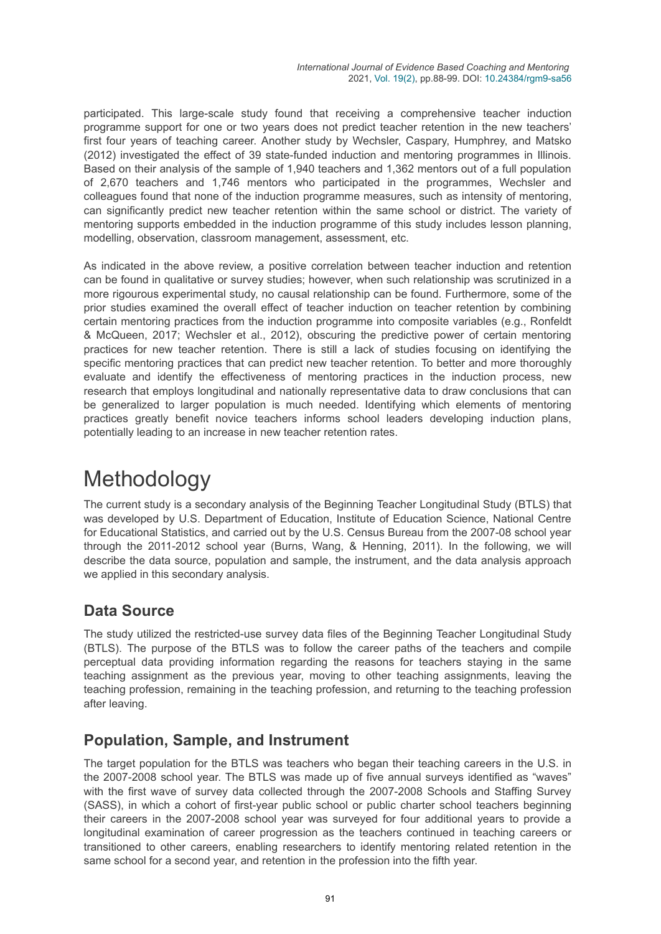participated. This large-scale study found that receiving a comprehensive teacher induction programme support for one or two years does not predict teacher retention in the new teachers' first four years of teaching career. Another study by Wechsler, Caspary, Humphrey, and Matsko (2012) investigated the effect of 39 state-funded induction and mentoring programmes in Illinois. Based on their analysis of the sample of 1,940 teachers and 1,362 mentors out of a full population of 2,670 teachers and 1,746 mentors who participated in the programmes, Wechsler and colleagues found that none of the induction programme measures, such as intensity of mentoring, can significantly predict new teacher retention within the same school or district. The variety of mentoring supports embedded in the induction programme of this study includes lesson planning, modelling, observation, classroom management, assessment, etc.

As indicated in the above review, a positive correlation between teacher induction and retention can be found in qualitative or survey studies; however, when such relationship was scrutinized in a more rigourous experimental study, no causal relationship can be found. Furthermore, some of the prior studies examined the overall effect of teacher induction on teacher retention by combining certain mentoring practices from the induction programme into composite variables (e.g., Ronfeldt & McQueen, 2017; Wechsler et al., 2012), obscuring the predictive power of certain mentoring practices for new teacher retention. There is still a lack of studies focusing on identifying the specific mentoring practices that can predict new teacher retention. To better and more thoroughly evaluate and identify the effectiveness of mentoring practices in the induction process, new research that employs longitudinal and nationally representative data to draw conclusions that can be generalized to larger population is much needed. Identifying which elements of mentoring practices greatly benefit novice teachers informs school leaders developing induction plans, potentially leading to an increase in new teacher retention rates.

## Methodology

The current study is a secondary analysis of the Beginning Teacher Longitudinal Study (BTLS) that was developed by U.S. Department of Education, Institute of Education Science, National Centre for Educational Statistics, and carried out by the U.S. Census Bureau from the 2007-08 school year through the 2011-2012 school year (Burns, Wang, & Henning, 2011). In the following, we will describe the data source, population and sample, the instrument, and the data analysis approach we applied in this secondary analysis.

### **Data Source**

The study utilized the restricted-use survey data files of the Beginning Teacher Longitudinal Study (BTLS). The purpose of the BTLS was to follow the career paths of the teachers and compile perceptual data providing information regarding the reasons for teachers staying in the same teaching assignment as the previous year, moving to other teaching assignments, leaving the teaching profession, remaining in the teaching profession, and returning to the teaching profession after leaving.

### **Population, Sample, and Instrument**

The target population for the BTLS was teachers who began their teaching careers in the U.S. in the 2007-2008 school year. The BTLS was made up of five annual surveys identified as "waves" with the first wave of survey data collected through the 2007-2008 Schools and Staffing Survey (SASS), in which a cohort of first-year public school or public charter school teachers beginning their careers in the 2007-2008 school year was surveyed for four additional years to provide a longitudinal examination of career progression as the teachers continued in teaching careers or transitioned to other careers, enabling researchers to identify mentoring related retention in the same school for a second year, and retention in the profession into the fifth year.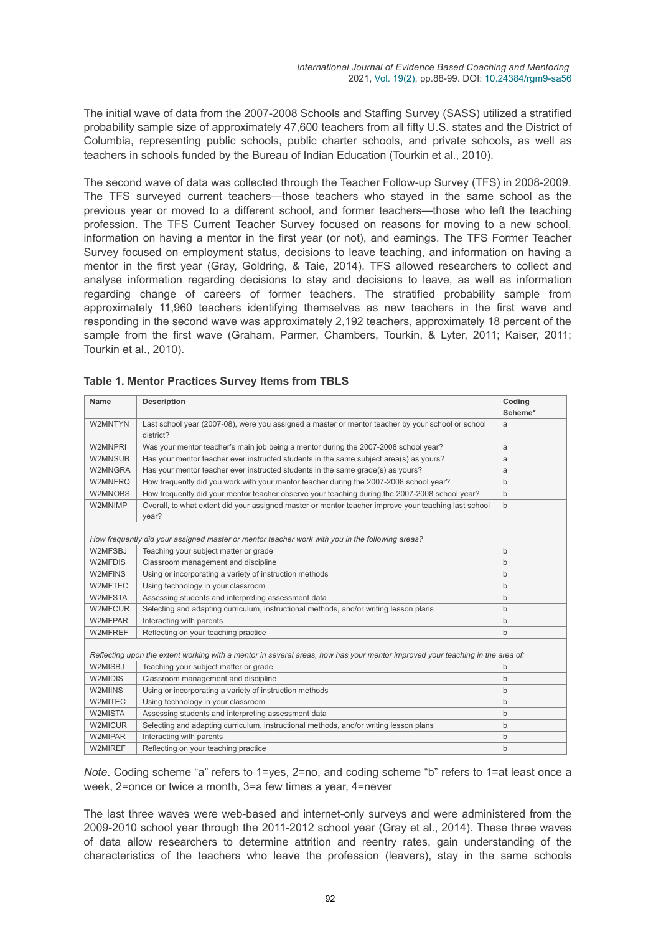The initial wave of data from the 2007-2008 Schools and Staffing Survey (SASS) utilized a stratified probability sample size of approximately 47,600 teachers from all fifty U.S. states and the District of Columbia, representing public schools, public charter schools, and private schools, as well as teachers in schools funded by the Bureau of Indian Education (Tourkin et al., 2010).

The second wave of data was collected through the Teacher Follow-up Survey (TFS) in 2008-2009. The TFS surveyed current teachers—those teachers who stayed in the same school as the previous year or moved to a different school, and former teachers—those who left the teaching profession. The TFS Current Teacher Survey focused on reasons for moving to a new school, information on having a mentor in the first year (or not), and earnings. The TFS Former Teacher Survey focused on employment status, decisions to leave teaching, and information on having a mentor in the first year (Gray, Goldring, & Taie, 2014). TFS allowed researchers to collect and analyse information regarding decisions to stay and decisions to leave, as well as information regarding change of careers of former teachers. The stratified probability sample from approximately 11,960 teachers identifying themselves as new teachers in the first wave and responding in the second wave was approximately 2,192 teachers, approximately 18 percent of the sample from the first wave (Graham, Parmer, Chambers, Tourkin, & Lyter, 2011; Kaiser, 2011; Tourkin et al., 2010).

| Name                                                                                                                          | <b>Description</b>                                                                                             | Coding      |  |  |
|-------------------------------------------------------------------------------------------------------------------------------|----------------------------------------------------------------------------------------------------------------|-------------|--|--|
|                                                                                                                               |                                                                                                                | Scheme*     |  |  |
| W2MNTYN                                                                                                                       | Last school year (2007-08), were you assigned a master or mentor teacher by your school or school<br>district? | a           |  |  |
| W2MNPRI                                                                                                                       | Was your mentor teacher's main job being a mentor during the 2007-2008 school year?                            | a           |  |  |
| W2MNSUB                                                                                                                       | Has your mentor teacher ever instructed students in the same subject area(s) as yours?                         | a           |  |  |
| W2MNGRA                                                                                                                       | Has your mentor teacher ever instructed students in the same grade(s) as yours?                                | a           |  |  |
| W2MNFRQ                                                                                                                       | How frequently did you work with your mentor teacher during the 2007-2008 school year?                         | $\mathbf b$ |  |  |
| W2MNOBS                                                                                                                       | How frequently did your mentor teacher observe your teaching during the 2007-2008 school year?                 | $\mathbf b$ |  |  |
| W2MNIMP                                                                                                                       | Overall, to what extent did your assigned master or mentor teacher improve your teaching last school<br>year?  | $\mathbf b$ |  |  |
|                                                                                                                               | How frequently did your assigned master or mentor teacher work with you in the following areas?                |             |  |  |
| W2MFSBJ                                                                                                                       | Teaching your subject matter or grade                                                                          | $\mathbf b$ |  |  |
| W2MFDIS                                                                                                                       | Classroom management and discipline                                                                            | $\mathbf b$ |  |  |
| W2MFINS                                                                                                                       | Using or incorporating a variety of instruction methods                                                        | $\mathbf b$ |  |  |
| W2MFTEC                                                                                                                       | Using technology in your classroom                                                                             | $\mathbf b$ |  |  |
| W2MFSTA                                                                                                                       | Assessing students and interpreting assessment data                                                            | $\mathbf b$ |  |  |
| W2MFCUR                                                                                                                       | Selecting and adapting curriculum, instructional methods, and/or writing lesson plans                          | b           |  |  |
| W2MFPAR                                                                                                                       | Interacting with parents                                                                                       | $\mathbf b$ |  |  |
| W2MFREF                                                                                                                       | Reflecting on your teaching practice                                                                           | $\mathbf b$ |  |  |
| Reflecting upon the extent working with a mentor in several areas, how has your mentor improved your teaching in the area of: |                                                                                                                |             |  |  |
| W2MISBJ                                                                                                                       | Teaching your subject matter or grade                                                                          | b           |  |  |
| W2MIDIS                                                                                                                       | Classroom management and discipline                                                                            | $\mathbf b$ |  |  |
| W2MIINS                                                                                                                       | Using or incorporating a variety of instruction methods                                                        | $\mathbf b$ |  |  |
| W2MITEC                                                                                                                       | Using technology in your classroom                                                                             | b           |  |  |
| W2MISTA                                                                                                                       | Assessing students and interpreting assessment data                                                            | b           |  |  |
| W2MICUR                                                                                                                       | Selecting and adapting curriculum, instructional methods, and/or writing lesson plans                          | $\mathbf b$ |  |  |
| W2MIPAR                                                                                                                       | Interacting with parents                                                                                       | b           |  |  |
| W2MIREF                                                                                                                       | Reflecting on your teaching practice                                                                           | $\mathbf b$ |  |  |

#### **Table 1. Mentor Practices Survey Items from TBLS**

*Note*. Coding scheme "a" refers to 1=yes, 2=no, and coding scheme "b" refers to 1=at least once a week, 2=once or twice a month, 3=a few times a year, 4=never

The last three waves were web-based and internet-only surveys and were administered from the 2009-2010 school year through the 2011-2012 school year (Gray et al., 2014). These three waves of data allow researchers to determine attrition and reentry rates, gain understanding of the characteristics of the teachers who leave the profession (leavers), stay in the same schools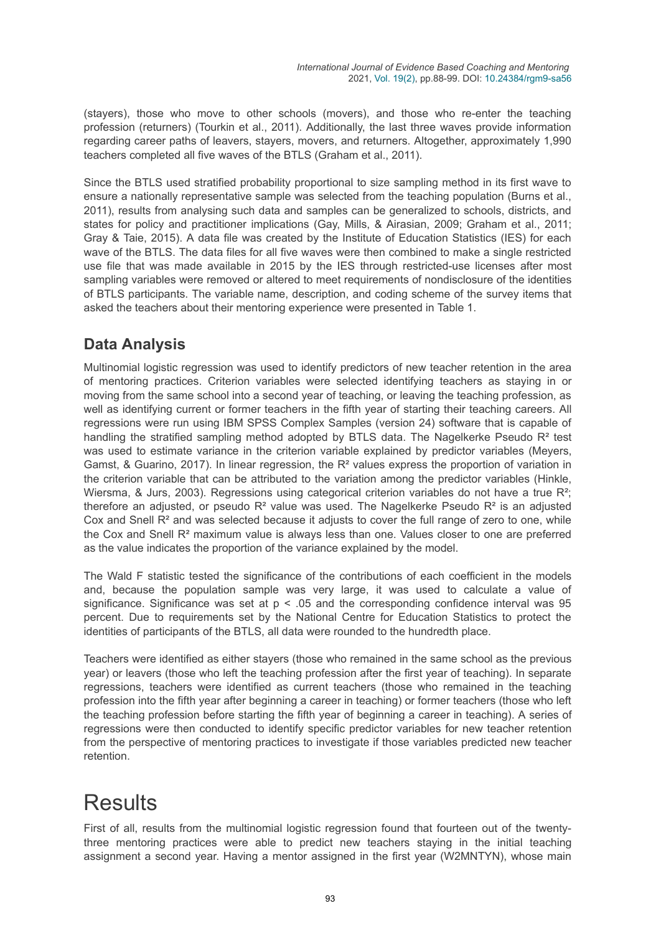(stayers), those who move to other schools (movers), and those who re-enter the teaching profession (returners) (Tourkin et al., 2011). Additionally, the last three waves provide information regarding career paths of leavers, stayers, movers, and returners. Altogether, approximately 1,990 teachers completed all five waves of the BTLS (Graham et al., 2011).

Since the BTLS used stratified probability proportional to size sampling method in its first wave to ensure a nationally representative sample was selected from the teaching population (Burns et al., 2011), results from analysing such data and samples can be generalized to schools, districts, and states for policy and practitioner implications (Gay, Mills, & Airasian, 2009; Graham et al., 2011; Gray & Taie, 2015). A data file was created by the Institute of Education Statistics (IES) for each wave of the BTLS. The data files for all five waves were then combined to make a single restricted use file that was made available in 2015 by the IES through restricted-use licenses after most sampling variables were removed or altered to meet requirements of nondisclosure of the identities of BTLS participants. The variable name, description, and coding scheme of the survey items that asked the teachers about their mentoring experience were presented in Table 1.

## **Data Analysis**

Multinomial logistic regression was used to identify predictors of new teacher retention in the area of mentoring practices. Criterion variables were selected identifying teachers as staying in or moving from the same school into a second year of teaching, or leaving the teaching profession, as well as identifying current or former teachers in the fifth year of starting their teaching careers. All regressions were run using IBM SPSS Complex Samples (version 24) software that is capable of handling the stratified sampling method adopted by BTLS data. The Nagelkerke Pseudo  $R^2$  test was used to estimate variance in the criterion variable explained by predictor variables (Meyers, Gamst, & Guarino, 2017). In linear regression, the R² values express the proportion of variation in the criterion variable that can be attributed to the variation among the predictor variables (Hinkle, Wiersma, & Jurs, 2003). Regressions using categorical criterion variables do not have a true R<sup>2</sup>; therefore an adjusted, or pseudo  $R<sup>2</sup>$  value was used. The Nagelkerke Pseudo  $R<sup>2</sup>$  is an adjusted Cox and Snell R<sup>2</sup> and was selected because it adjusts to cover the full range of zero to one, while the Cox and Snell R² maximum value is always less than one. Values closer to one are preferred as the value indicates the proportion of the variance explained by the model.

The Wald F statistic tested the significance of the contributions of each coefficient in the models and, because the population sample was very large, it was used to calculate a value of significance. Significance was set at  $p < .05$  and the corresponding confidence interval was 95 percent. Due to requirements set by the National Centre for Education Statistics to protect the identities of participants of the BTLS, all data were rounded to the hundredth place.

Teachers were identified as either stayers (those who remained in the same school as the previous year) or leavers (those who left the teaching profession after the first year of teaching). In separate regressions, teachers were identified as current teachers (those who remained in the teaching profession into the fifth year after beginning a career in teaching) or former teachers (those who left the teaching profession before starting the fifth year of beginning a career in teaching). A series of regressions were then conducted to identify specific predictor variables for new teacher retention from the perspective of mentoring practices to investigate if those variables predicted new teacher retention.

# **Results**

First of all, results from the multinomial logistic regression found that fourteen out of the twentythree mentoring practices were able to predict new teachers staying in the initial teaching assignment a second year. Having a mentor assigned in the first year (W2MNTYN), whose main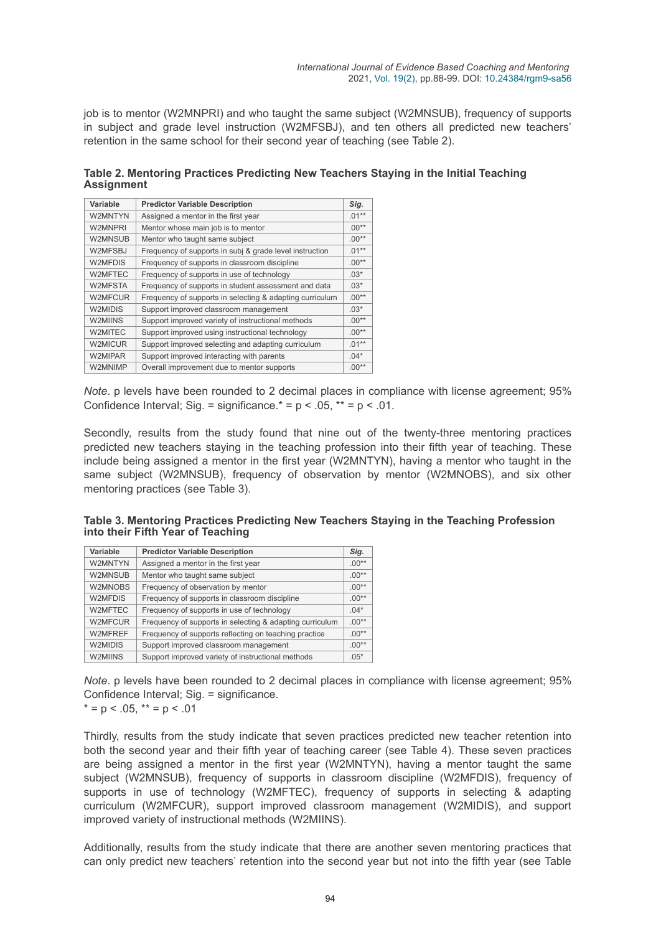job is to mentor (W2MNPRI) and who taught the same subject (W2MNSUB), frequency of supports in subject and grade level instruction (W2MFSBJ), and ten others all predicted new teachers' retention in the same school for their second year of teaching (see Table 2).

**Table 2. Mentoring Practices Predicting New Teachers Staying in the Initial Teaching Assignment**

| Variable | <b>Predictor Variable Description</b>                    | Sig.     |
|----------|----------------------------------------------------------|----------|
| W2MNTYN  | Assigned a mentor in the first year                      | $.01***$ |
| W2MNPRI  | Mentor whose main job is to mentor                       | $.00**$  |
| W2MNSUB  | Mentor who taught same subject                           | $.00**$  |
| W2MFSBJ  | Frequency of supports in subj & grade level instruction  | $.01***$ |
| W2MFDIS  | Frequency of supports in classroom discipline            | $.00**$  |
| W2MFTEC  | Frequency of supports in use of technology               | $.03*$   |
| W2MFSTA  | Frequency of supports in student assessment and data     | $.03*$   |
| W2MFCUR  | Frequency of supports in selecting & adapting curriculum | $.00**$  |
| W2MIDIS  | Support improved classroom management                    | $.03*$   |
| W2MIINS  | Support improved variety of instructional methods        | $.00**$  |
| W2MITEC  | Support improved using instructional technology          | $.00**$  |
| W2MICUR  | Support improved selecting and adapting curriculum       | $.01***$ |
| W2MIPAR  | Support improved interacting with parents                | $.04*$   |
| W2MNIMP  | Overall improvement due to mentor supports               | $.00**$  |

*Note*. p levels have been rounded to 2 decimal places in compliance with license agreement; 95% Confidence Interval; Sig. = significance.  $* = p < .05$ ,  $** = p < .01$ .

Secondly, results from the study found that nine out of the twenty-three mentoring practices predicted new teachers staying in the teaching profession into their fifth year of teaching. These include being assigned a mentor in the first year (W2MNTYN), having a mentor who taught in the same subject (W2MNSUB), frequency of observation by mentor (W2MNOBS), and six other mentoring practices (see Table 3).

**Table 3. Mentoring Practices Predicting New Teachers Staying in the Teaching Profession into their Fifth Year of Teaching**

| Variable | <b>Predictor Variable Description</b>                    | Sig.    |
|----------|----------------------------------------------------------|---------|
| W2MNTYN  | Assigned a mentor in the first year                      | $.00**$ |
| W2MNSUB  | Mentor who taught same subject                           | $.00**$ |
| W2MNOBS  | Frequency of observation by mentor                       | $.00**$ |
| W2MFDIS  | Frequency of supports in classroom discipline            | $.00**$ |
| W2MFTEC  | Frequency of supports in use of technology               | $.04*$  |
| W2MFCUR  | Frequency of supports in selecting & adapting curriculum | $.00**$ |
| W2MFREF  | Frequency of supports reflecting on teaching practice    | $.00**$ |
| W2MIDIS  | Support improved classroom management                    | $.00**$ |
| W2MIINS  | Support improved variety of instructional methods        | $.05*$  |

*Note*. p levels have been rounded to 2 decimal places in compliance with license agreement; 95% Confidence Interval; Sig. = significance.

 $* = p < .05, ** = p < .01$ 

Thirdly, results from the study indicate that seven practices predicted new teacher retention into both the second year and their fifth year of teaching career (see Table 4). These seven practices are being assigned a mentor in the first year (W2MNTYN), having a mentor taught the same subject (W2MNSUB), frequency of supports in classroom discipline (W2MFDIS), frequency of supports in use of technology (W2MFTEC), frequency of supports in selecting & adapting curriculum (W2MFCUR), support improved classroom management (W2MIDIS), and support improved variety of instructional methods (W2MIINS).

Additionally, results from the study indicate that there are another seven mentoring practices that can only predict new teachers' retention into the second year but not into the fifth year (see Table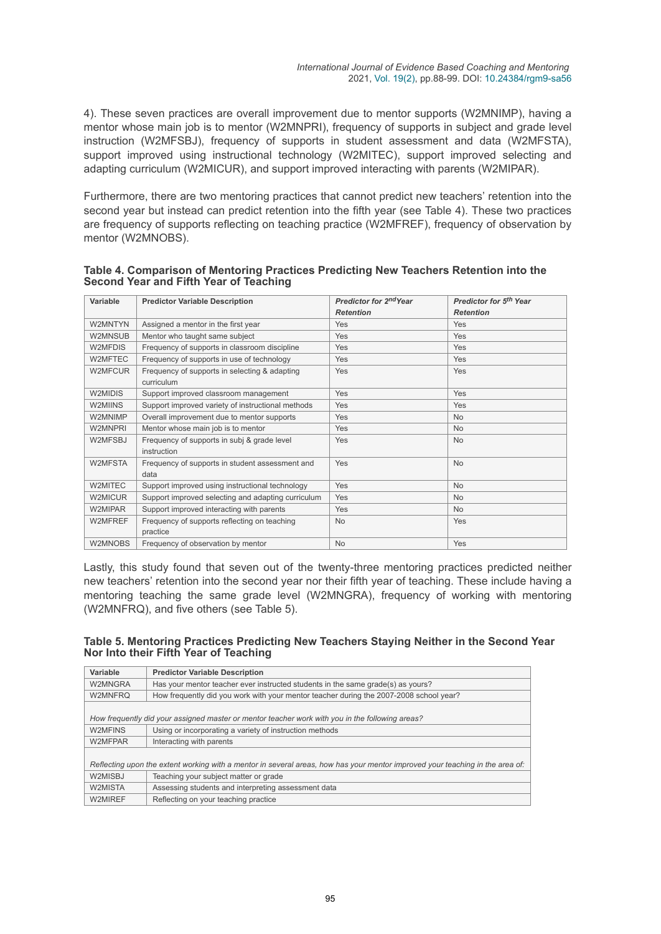4). These seven practices are overall improvement due to mentor supports (W2MNIMP), having a mentor whose main job is to mentor (W2MNPRI), frequency of supports in subject and grade level instruction (W2MFSBJ), frequency of supports in student assessment and data (W2MFSTA), support improved using instructional technology (W2MITEC), support improved selecting and adapting curriculum (W2MICUR), and support improved interacting with parents (W2MIPAR).

Furthermore, there are two mentoring practices that cannot predict new teachers' retention into the second year but instead can predict retention into the fifth year (see Table 4). These two practices are frequency of supports reflecting on teaching practice (W2MFREF), frequency of observation by mentor (W2MNOBS).

| Table 4. Comparison of Mentoring Practices Predicting New Teachers Retention into the |  |
|---------------------------------------------------------------------------------------|--|
| Second Year and Fifth Year of Teaching                                                |  |

| Variable | <b>Predictor Variable Description</b>              | Predictor for 2 <sup>nd</sup> Year | Predictor for 5 <sup>th</sup> Year |
|----------|----------------------------------------------------|------------------------------------|------------------------------------|
|          |                                                    | <b>Retention</b>                   | <b>Retention</b>                   |
| W2MNTYN  | Assigned a mentor in the first year                | Yes                                | Yes                                |
| W2MNSUB  | Mentor who taught same subject                     | <b>Yes</b>                         | Yes                                |
| W2MFDIS  | Frequency of supports in classroom discipline      | Yes                                | Yes                                |
| W2MFTEC  | Frequency of supports in use of technology         | <b>Yes</b>                         | Yes                                |
| W2MFCUR  | Frequency of supports in selecting & adapting      | Yes                                | Yes                                |
|          | curriculum                                         |                                    |                                    |
| W2MIDIS  | Support improved classroom management              | <b>Yes</b>                         | Yes                                |
| W2MIINS  | Support improved variety of instructional methods  | <b>Yes</b>                         | <b>Yes</b>                         |
| W2MNIMP  | Overall improvement due to mentor supports         | Yes                                | <b>No</b>                          |
| W2MNPRI  | Mentor whose main job is to mentor                 | <b>Yes</b>                         | <b>No</b>                          |
| W2MFSBJ  | Frequency of supports in subj & grade level        | Yes                                | <b>No</b>                          |
|          | instruction                                        |                                    |                                    |
| W2MFSTA  | Frequency of supports in student assessment and    | Yes                                | <b>No</b>                          |
|          | data                                               |                                    |                                    |
| W2MITEC  | Support improved using instructional technology    | Yes                                | <b>No</b>                          |
| W2MICUR  | Support improved selecting and adapting curriculum | Yes                                | <b>No</b>                          |
| W2MIPAR  | Support improved interacting with parents          | <b>Yes</b>                         | <b>No</b>                          |
| W2MFREF  | Frequency of supports reflecting on teaching       | <b>No</b>                          | Yes                                |
|          | practice                                           |                                    |                                    |
| W2MNOBS  | Frequency of observation by mentor                 | <b>No</b>                          | Yes                                |

Lastly, this study found that seven out of the twenty-three mentoring practices predicted neither new teachers' retention into the second year nor their fifth year of teaching. These include having a mentoring teaching the same grade level (W2MNGRA), frequency of working with mentoring (W2MNFRQ), and five others (see Table 5).

#### **Table 5. Mentoring Practices Predicting New Teachers Staying Neither in the Second Year Nor Into their Fifth Year of Teaching**

| Variable                                                                                        | <b>Predictor Variable Description</b>                                                                                         |  |
|-------------------------------------------------------------------------------------------------|-------------------------------------------------------------------------------------------------------------------------------|--|
| W2MNGRA                                                                                         | Has your mentor teacher ever instructed students in the same grade(s) as yours?                                               |  |
| W2MNFRQ                                                                                         | How frequently did you work with your mentor teacher during the 2007-2008 school year?                                        |  |
|                                                                                                 |                                                                                                                               |  |
| How frequently did your assigned master or mentor teacher work with you in the following areas? |                                                                                                                               |  |
| W2MFINS                                                                                         | Using or incorporating a variety of instruction methods                                                                       |  |
| W2MFPAR                                                                                         | Interacting with parents                                                                                                      |  |
|                                                                                                 |                                                                                                                               |  |
|                                                                                                 | Reflecting upon the extent working with a mentor in several areas, how has your mentor improved your teaching in the area of: |  |
| W2MISBJ                                                                                         | Teaching your subject matter or grade                                                                                         |  |
| W2MISTA                                                                                         | Assessing students and interpreting assessment data                                                                           |  |
| W2MIREF                                                                                         | Reflecting on your teaching practice                                                                                          |  |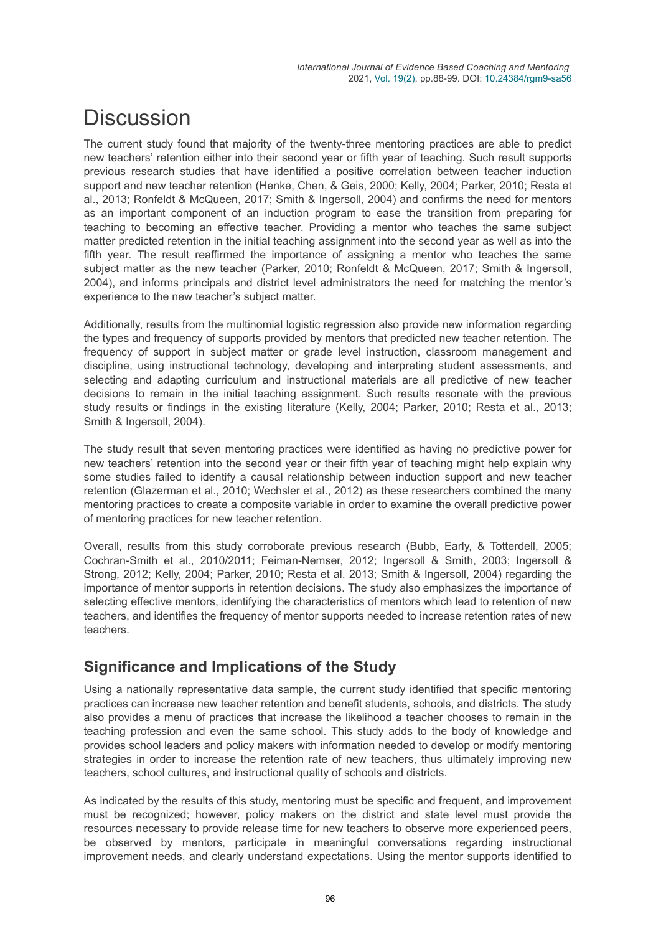# **Discussion**

The current study found that majority of the twenty-three mentoring practices are able to predict new teachers' retention either into their second year or fifth year of teaching. Such result supports previous research studies that have identified a positive correlation between teacher induction support and new teacher retention (Henke, Chen, & Geis, 2000; Kelly, 2004; Parker, 2010; Resta et al., 2013; Ronfeldt & McQueen, 2017; Smith & Ingersoll, 2004) and confirms the need for mentors as an important component of an induction program to ease the transition from preparing for teaching to becoming an effective teacher. Providing a mentor who teaches the same subject matter predicted retention in the initial teaching assignment into the second year as well as into the fifth year. The result reaffirmed the importance of assigning a mentor who teaches the same subject matter as the new teacher (Parker, 2010; Ronfeldt & McQueen, 2017; Smith & Ingersoll, 2004), and informs principals and district level administrators the need for matching the mentor's experience to the new teacher's subject matter.

Additionally, results from the multinomial logistic regression also provide new information regarding the types and frequency of supports provided by mentors that predicted new teacher retention. The frequency of support in subject matter or grade level instruction, classroom management and discipline, using instructional technology, developing and interpreting student assessments, and selecting and adapting curriculum and instructional materials are all predictive of new teacher decisions to remain in the initial teaching assignment. Such results resonate with the previous study results or findings in the existing literature (Kelly, 2004; Parker, 2010; Resta et al., 2013; Smith & Ingersoll, 2004).

The study result that seven mentoring practices were identified as having no predictive power for new teachers' retention into the second year or their fifth year of teaching might help explain why some studies failed to identify a causal relationship between induction support and new teacher retention (Glazerman et al., 2010; Wechsler et al., 2012) as these researchers combined the many mentoring practices to create a composite variable in order to examine the overall predictive power of mentoring practices for new teacher retention.

Overall, results from this study corroborate previous research (Bubb, Early, & Totterdell, 2005; Cochran-Smith et al., 2010/2011; Feiman-Nemser, 2012; Ingersoll & Smith, 2003; Ingersoll & Strong, 2012; Kelly, 2004; Parker, 2010; Resta et al. 2013; Smith & Ingersoll, 2004) regarding the importance of mentor supports in retention decisions. The study also emphasizes the importance of selecting effective mentors, identifying the characteristics of mentors which lead to retention of new teachers, and identifies the frequency of mentor supports needed to increase retention rates of new teachers.

### **Significance and Implications of the Study**

Using a nationally representative data sample, the current study identified that specific mentoring practices can increase new teacher retention and benefit students, schools, and districts. The study also provides a menu of practices that increase the likelihood a teacher chooses to remain in the teaching profession and even the same school. This study adds to the body of knowledge and provides school leaders and policy makers with information needed to develop or modify mentoring strategies in order to increase the retention rate of new teachers, thus ultimately improving new teachers, school cultures, and instructional quality of schools and districts.

As indicated by the results of this study, mentoring must be specific and frequent, and improvement must be recognized; however, policy makers on the district and state level must provide the resources necessary to provide release time for new teachers to observe more experienced peers, be observed by mentors, participate in meaningful conversations regarding instructional improvement needs, and clearly understand expectations. Using the mentor supports identified to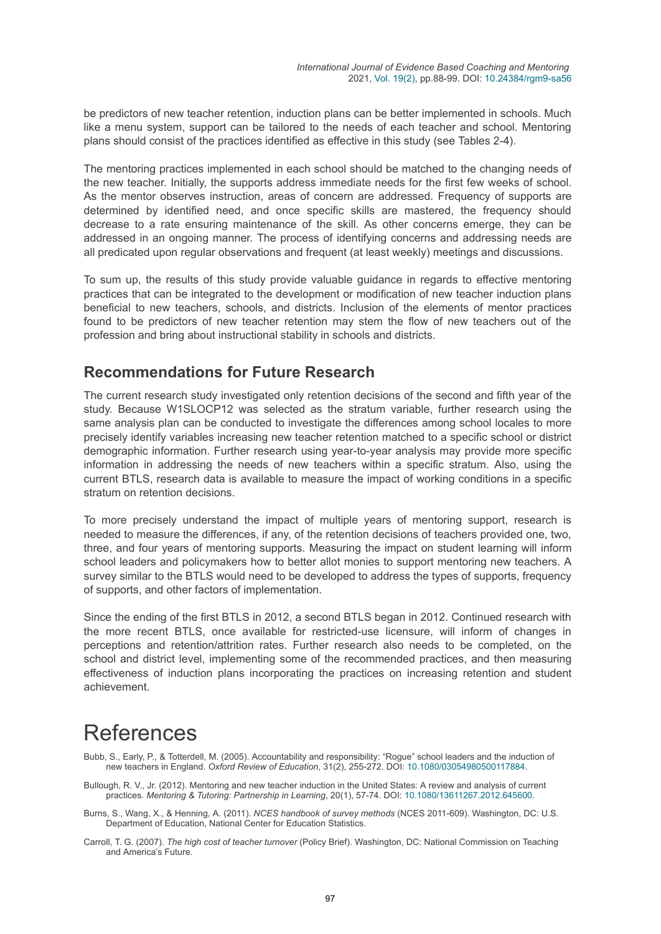be predictors of new teacher retention, induction plans can be better implemented in schools. Much like a menu system, support can be tailored to the needs of each teacher and school. Mentoring plans should consist of the practices identified as effective in this study (see Tables 2-4).

The mentoring practices implemented in each school should be matched to the changing needs of the new teacher. Initially, the supports address immediate needs for the first few weeks of school. As the mentor observes instruction, areas of concern are addressed. Frequency of supports are determined by identified need, and once specific skills are mastered, the frequency should decrease to a rate ensuring maintenance of the skill. As other concerns emerge, they can be addressed in an ongoing manner. The process of identifying concerns and addressing needs are all predicated upon regular observations and frequent (at least weekly) meetings and discussions.

To sum up, the results of this study provide valuable guidance in regards to effective mentoring practices that can be integrated to the development or modification of new teacher induction plans beneficial to new teachers, schools, and districts. Inclusion of the elements of mentor practices found to be predictors of new teacher retention may stem the flow of new teachers out of the profession and bring about instructional stability in schools and districts.

### **Recommendations for Future Research**

The current research study investigated only retention decisions of the second and fifth year of the study. Because W1SLOCP12 was selected as the stratum variable, further research using the same analysis plan can be conducted to investigate the differences among school locales to more precisely identify variables increasing new teacher retention matched to a specific school or district demographic information. Further research using year-to-year analysis may provide more specific information in addressing the needs of new teachers within a specific stratum. Also, using the current BTLS, research data is available to measure the impact of working conditions in a specific stratum on retention decisions.

To more precisely understand the impact of multiple years of mentoring support, research is needed to measure the differences, if any, of the retention decisions of teachers provided one, two, three, and four years of mentoring supports. Measuring the impact on student learning will inform school leaders and policymakers how to better allot monies to support mentoring new teachers. A survey similar to the BTLS would need to be developed to address the types of supports, frequency of supports, and other factors of implementation.

Since the ending of the first BTLS in 2012, a second BTLS began in 2012. Continued research with the more recent BTLS, once available for restricted-use licensure, will inform of changes in perceptions and retention/attrition rates. Further research also needs to be completed, on the school and district level, implementing some of the recommended practices, and then measuring effectiveness of induction plans incorporating the practices on increasing retention and student achievement.

## **References**

- Bubb, S., Early, P., & Totterdell, M. (2005). Accountability and responsibility: "Rogue" school leaders and the induction of new teachers in England. *Oxford Review of Education*, 31(2), 255-272. DOI: [10.1080/03054980500117884.](https://doi.org/10.1080/03054980500117884)
- Bullough, R. V., Jr. (2012). Mentoring and new teacher induction in the United States: A review and analysis of current practices. *Mentoring & Tutoring: Partnership in Learning*, 20(1), 57-74. DOI: [10.1080/13611267.2012.645600](https://doi.org/10.1080/13611267.2012.645600).
- Burns, S., Wang, X., & Henning, A. (2011). *NCES handbook of survey methods* (NCES 2011-609). Washington, DC: U.S. Department of Education, National Center for Education Statistics.
- Carroll, T. G. (2007). *The high cost of teacher turnover* (Policy Brief). Washington, DC: National Commission on Teaching and America's Future.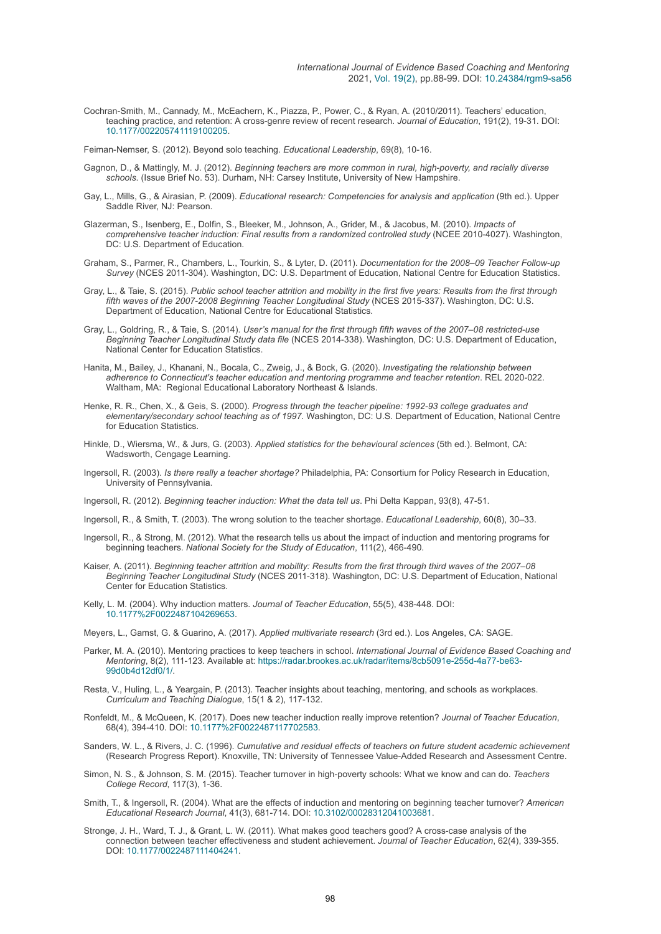Cochran-Smith, M., Cannady, M., McEachern, K., Piazza, P., Power, C., & Ryan, A. (2010/2011). Teachers' education, teaching practice, and retention: A cross-genre review of recent research. *Journal of Education*, 191(2), 19-31. DOI: [10.1177/002205741119100205.](https://doi.org/10.1177/002205741119100205)

Feiman-Nemser, S. (2012). Beyond solo teaching. *Educational Leadership*, 69(8), 10-16.

- Gagnon, D., & Mattingly, M. J. (2012). *Beginning teachers are more common in rural, high-poverty, and racially diverse schools*. (Issue Brief No. 53). Durham, NH: Carsey Institute, University of New Hampshire.
- Gay, L., Mills, G., & Airasian, P. (2009). *Educational research: Competencies for analysis and application* (9th ed.). Upper Saddle River, NJ: Pearson.
- Glazerman, S., Isenberg, E., Dolfin, S., Bleeker, M., Johnson, A., Grider, M., & Jacobus, M. (2010). *Impacts of comprehensive teacher induction: Final results from a randomized controlled study* (NCEE 2010-4027). Washington, DC: U.S. Department of Education.
- Graham, S., Parmer, R., Chambers, L., Tourkin, S., & Lyter, D. (2011). *Documentation for the 2008–09 Teacher Follow-up Survey* (NCES 2011-304). Washington, DC: U.S. Department of Education, National Centre for Education Statistics.
- Gray, L., & Taie, S. (2015). *Public school teacher attrition and mobility in the first five years: Results from the first through fifth waves of the 2007-2008 Beginning Teacher Longitudinal Study* (NCES 2015-337). Washington, DC: U.S. Department of Education, National Centre for Educational Statistics.
- Gray, L., Goldring, R., & Taie, S. (2014). *User's manual for the first through fifth waves of the 2007–08 restricted-use Beginning Teacher Longitudinal Study data file* (NCES 2014-338). Washington, DC: U.S. Department of Education, National Center for Education Statistics.
- Hanita, M., Bailey, J., Khanani, N., Bocala, C., Zweig, J., & Bock, G. (2020). *Investigating the relationship between adherence to Connecticut's teacher education and mentoring programme and teacher retention*. REL 2020-022. Waltham, MA: Regional Educational Laboratory Northeast & Islands.
- Henke, R. R., Chen, X., & Geis, S. (2000). *Progress through the teacher pipeline: 1992-93 college graduates and elementary/secondary school teaching as of 1997*. Washington, DC: U.S. Department of Education, National Centre for Education Statistics.
- Hinkle, D., Wiersma, W., & Jurs, G. (2003). *Applied statistics for the behavioural sciences* (5th ed.). Belmont, CA: Wadsworth, Cengage Learning.
- Ingersoll, R. (2003). *Is there really a teacher shortage?* Philadelphia, PA: Consortium for Policy Research in Education, University of Pennsylvania.
- Ingersoll, R. (2012). *Beginning teacher induction: What the data tell us*. Phi Delta Kappan, 93(8), 47-51.
- Ingersoll, R., & Smith, T. (2003). The wrong solution to the teacher shortage. *Educational Leadership*, 60(8), 30–33.
- Ingersoll, R., & Strong, M. (2012). What the research tells us about the impact of induction and mentoring programs for beginning teachers. *National Society for the Study of Education*, 111(2), 466-490.
- Kaiser, A. (2011). *Beginning teacher attrition and mobility: Results from the first through third waves of the 2007–08 Beginning Teacher Longitudinal Study* (NCES 2011-318). Washington, DC: U.S. Department of Education, National Center for Education Statistics.
- Kelly, L. M. (2004). Why induction matters. *Journal of Teacher Education*, 55(5), 438-448. DOI: [10.1177%2F0022487104269653](https://doi.org/10.1177%2F0022487104269653).
- Meyers, L., Gamst, G. & Guarino, A. (2017). *Applied multivariate research* (3rd ed.). Los Angeles, CA: SAGE.
- Parker, M. A. (2010). Mentoring practices to keep teachers in school. *International Journal of Evidence Based Coaching and Mentoring*[, 8\(2\), 111-123. Available at: https://radar.brookes.ac.uk/radar/items/8cb5091e-255d-4a77-be63-](https://radar.brookes.ac.uk/radar/items/8cb5091e-255d-4a77-be63-99d0b4d12df0/1/) 99d0b4d12df0/1/.
- Resta, V., Huling, L., & Yeargain, P. (2013). Teacher insights about teaching, mentoring, and schools as workplaces. *Curriculum and Teaching Dialogue*, 15(1 & 2), 117-132.
- Ronfeldt, M., & McQueen, K. (2017). Does new teacher induction really improve retention? *Journal of Teacher Education*, 68(4), 394-410. DOI: [10.1177%2F0022487117702583](https://doi.org/10.1177%2F0022487117702583).
- Sanders, W. L., & Rivers, J. C. (1996). *Cumulative and residual effects of teachers on future student academic achievement* (Research Progress Report). Knoxville, TN: University of Tennessee Value-Added Research and Assessment Centre.
- Simon, N. S., & Johnson, S. M. (2015). Teacher turnover in high-poverty schools: What we know and can do. *Teachers College Record*, 117(3), 1-36.
- Smith, T., & Ingersoll, R. (2004). What are the effects of induction and mentoring on beginning teacher turnover? *American Educational Research Journal*, 41(3), 681-714. DOI: [10.3102/00028312041003681](https://doi.org/10.3102/00028312041003681).
- Stronge, J. H., Ward, T. J., & Grant, L. W. (2011). What makes good teachers good? A cross-case analysis of the connection between teacher effectiveness and student achievement. *Journal of Teacher Education*, 62(4), 339-355. DOI: [10.1177/0022487111404241](https://doi.org/10.1177/0022487111404241).